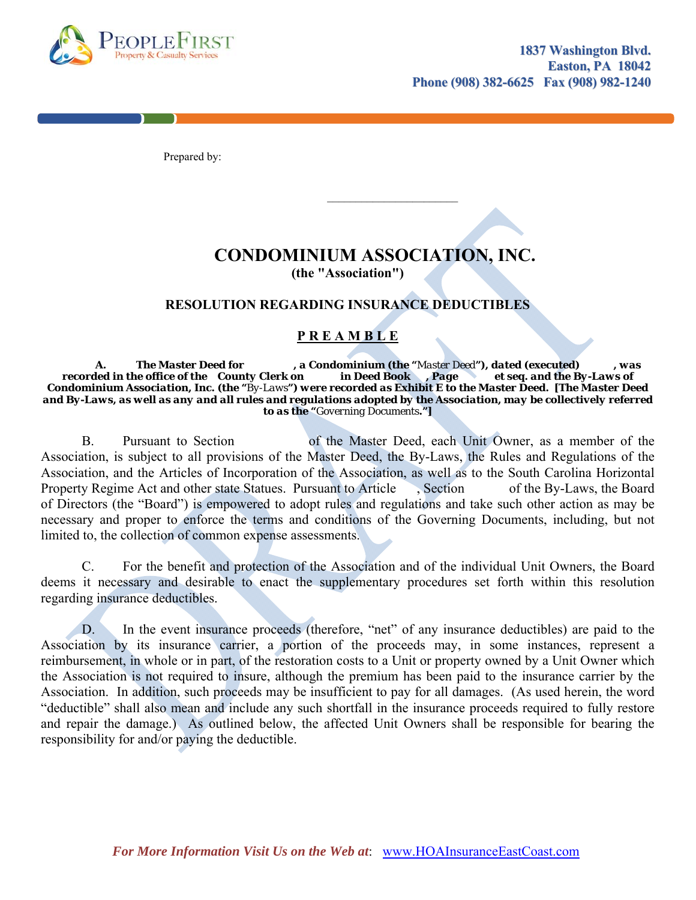

Prepared by:

 $\mathcal{L}_\text{max}$  , where  $\mathcal{L}_\text{max}$  is the set of  $\mathcal{L}_\text{max}$  , we have the set of  $\mathcal{L}_\text{max}$ 

## **CONDOMINIUM ASSOCIATION, INC.**

**(the "Association")** 

## **RESOLUTION REGARDING INSURANCE DEDUCTIBLES**

## **P R E A M B L E**

 *A. The Master Deed for , a Condominium (the "Master Deed"), dated (executed) , was recorded in the office of the County Clerk on in Deed Book , Page et seq. and the By-Laws of Condominium Association, Inc. (the "By-Laws") were recorded as Exhibit E to the Master Deed. [The Master Deed and By-Laws, as well as any and all rules and regulations adopted by the Association, may be collectively referred to as the "Governing Documents."]* 

B. Pursuant to Section of the Master Deed, each Unit Owner, as a member of the Association, is subject to all provisions of the Master Deed, the By-Laws, the Rules and Regulations of the Association, and the Articles of Incorporation of the Association, as well as to the South Carolina Horizontal Property Regime Act and other state Statues. Pursuant to Article , Section of the By-Laws, the Board of Directors (the "Board") is empowered to adopt rules and regulations and take such other action as may be necessary and proper to enforce the terms and conditions of the Governing Documents, including, but not limited to, the collection of common expense assessments.

C. For the benefit and protection of the Association and of the individual Unit Owners, the Board deems it necessary and desirable to enact the supplementary procedures set forth within this resolution regarding insurance deductibles.

D. In the event insurance proceeds (therefore, "net" of any insurance deductibles) are paid to the Association by its insurance carrier, a portion of the proceeds may, in some instances, represent a reimbursement, in whole or in part, of the restoration costs to a Unit or property owned by a Unit Owner which the Association is not required to insure, although the premium has been paid to the insurance carrier by the Association. In addition, such proceeds may be insufficient to pay for all damages. (As used herein, the word "deductible" shall also mean and include any such shortfall in the insurance proceeds required to fully restore and repair the damage.) As outlined below, the affected Unit Owners shall be responsible for bearing the responsibility for and/or paying the deductible.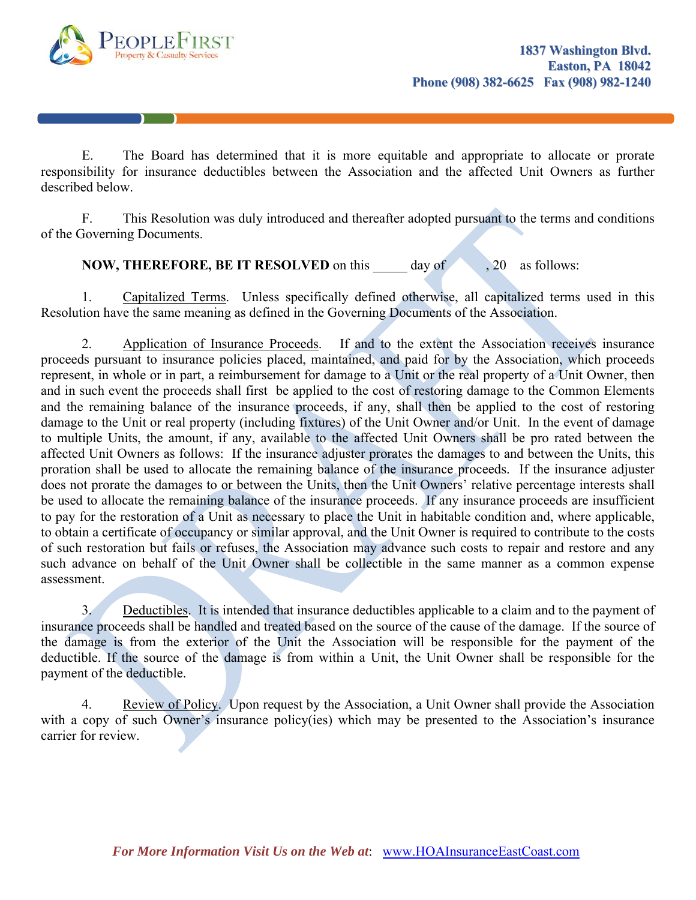

E. The Board has determined that it is more equitable and appropriate to allocate or prorate responsibility for insurance deductibles between the Association and the affected Unit Owners as further described below.

F. This Resolution was duly introduced and thereafter adopted pursuant to the terms and conditions of the Governing Documents.

**NOW, THEREFORE, BE IT RESOLVED** on this day of , 20 as follows:

1. Capitalized Terms. Unless specifically defined otherwise, all capitalized terms used in this Resolution have the same meaning as defined in the Governing Documents of the Association.

2. Application of Insurance Proceeds. If and to the extent the Association receives insurance proceeds pursuant to insurance policies placed, maintained, and paid for by the Association, which proceeds represent, in whole or in part, a reimbursement for damage to a Unit or the real property of a Unit Owner, then and in such event the proceeds shall first be applied to the cost of restoring damage to the Common Elements and the remaining balance of the insurance proceeds, if any, shall then be applied to the cost of restoring damage to the Unit or real property (including fixtures) of the Unit Owner and/or Unit. In the event of damage to multiple Units, the amount, if any, available to the affected Unit Owners shall be pro rated between the affected Unit Owners as follows: If the insurance adjuster prorates the damages to and between the Units, this proration shall be used to allocate the remaining balance of the insurance proceeds. If the insurance adjuster does not prorate the damages to or between the Units, then the Unit Owners' relative percentage interests shall be used to allocate the remaining balance of the insurance proceeds. If any insurance proceeds are insufficient to pay for the restoration of a Unit as necessary to place the Unit in habitable condition and, where applicable, to obtain a certificate of occupancy or similar approval, and the Unit Owner is required to contribute to the costs of such restoration but fails or refuses, the Association may advance such costs to repair and restore and any such advance on behalf of the Unit Owner shall be collectible in the same manner as a common expense assessment.

3. Deductibles. It is intended that insurance deductibles applicable to a claim and to the payment of insurance proceeds shall be handled and treated based on the source of the cause of the damage. If the source of the damage is from the exterior of the Unit the Association will be responsible for the payment of the deductible. If the source of the damage is from within a Unit, the Unit Owner shall be responsible for the payment of the deductible.

4. Review of Policy. Upon request by the Association, a Unit Owner shall provide the Association with a copy of such Owner's insurance policy(ies) which may be presented to the Association's insurance carrier for review.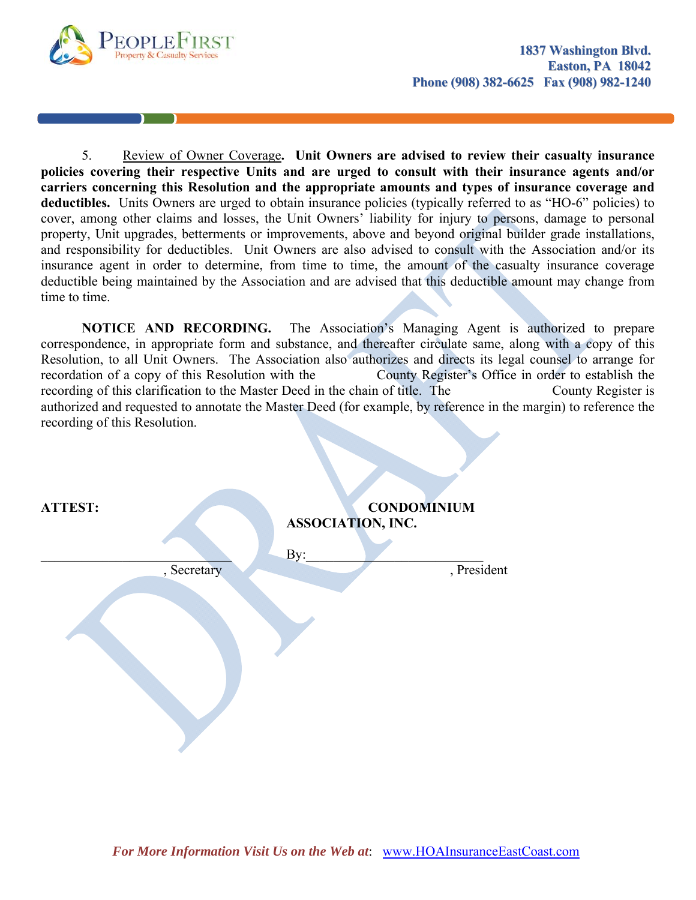

5. Review of Owner Coverage**. Unit Owners are advised to review their casualty insurance policies covering their respective Units and are urged to consult with their insurance agents and/or carriers concerning this Resolution and the appropriate amounts and types of insurance coverage and**  deductibles. Units Owners are urged to obtain insurance policies (typically referred to as "HO-6" policies) to cover, among other claims and losses, the Unit Owners' liability for injury to persons, damage to personal property, Unit upgrades, betterments or improvements, above and beyond original builder grade installations, and responsibility for deductibles. Unit Owners are also advised to consult with the Association and/or its insurance agent in order to determine, from time to time, the amount of the casualty insurance coverage deductible being maintained by the Association and are advised that this deductible amount may change from time to time.

**NOTICE AND RECORDING.** The Association's Managing Agent is authorized to prepare correspondence, in appropriate form and substance, and thereafter circulate same, along with a copy of this Resolution, to all Unit Owners. The Association also authorizes and directs its legal counsel to arrange for recordation of a copy of this Resolution with the County Register's Office in order to establish the recording of this clarification to the Master Deed in the chain of title. The County Register is authorized and requested to annotate the Master Deed (for example, by reference in the margin) to reference the recording of this Resolution.

| <b>ATTEST:</b> |             | ASSOCIATION, INC.<br>By: | <b>CONDOMINIUM</b> |
|----------------|-------------|--------------------------|--------------------|
|                | , Secretary |                          | , President        |
|                |             |                          |                    |